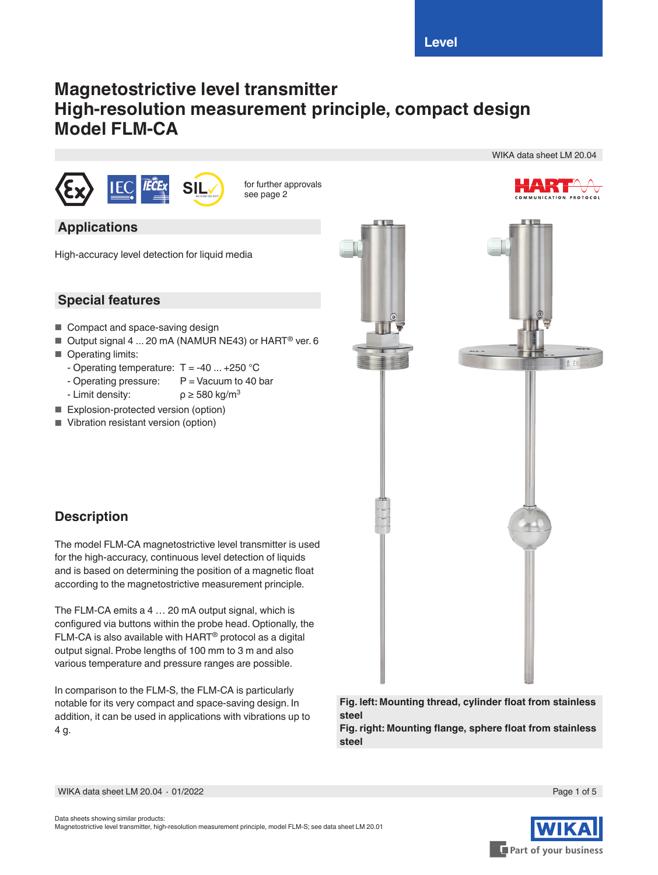# **Magnetostrictive level transmitter High-resolution measurement principle, compact design Model FLM-CA**



**SILIER 61508 / See page 2 Since 6151 See page 2** 

# **Applications**

High-accuracy level detection for liquid media

# **Special features**

- Compact and space-saving design
- Output signal 4 ... 20 mA (NAMUR NE43) or HART<sup>®</sup> ver. 6
- Operating limits:
	- Operating temperature:  $T = -40$  ...  $+250$  °C
	- Operating pressure:  $P =$  Vacuum to 40 bar<br>- Limit density:  $\rho \ge 580 \text{ kg/m}^3$
	- Limit density:
- 
- Explosion-protected version (option)
- Vibration resistant version (option)



# **Description**

The model FLM-CA magnetostrictive level transmitter is used for the high-accuracy, continuous level detection of liquids and is based on determining the position of a magnetic float according to the magnetostrictive measurement principle.

The FLM-CA emits a 4 … 20 mA output signal, which is configured via buttons within the probe head. Optionally, the FLM-CA is also available with HART® protocol as a digital output signal. Probe lengths of 100 mm to 3 m and also various temperature and pressure ranges are possible.

In comparison to the FLM-S, the FLM-CA is particularly notable for its very compact and space-saving design. In addition, it can be used in applications with vibrations up to 4 g.



**Fig. right: Mounting flange, sphere float from stainless steel**





WIKA data sheet LM 20.04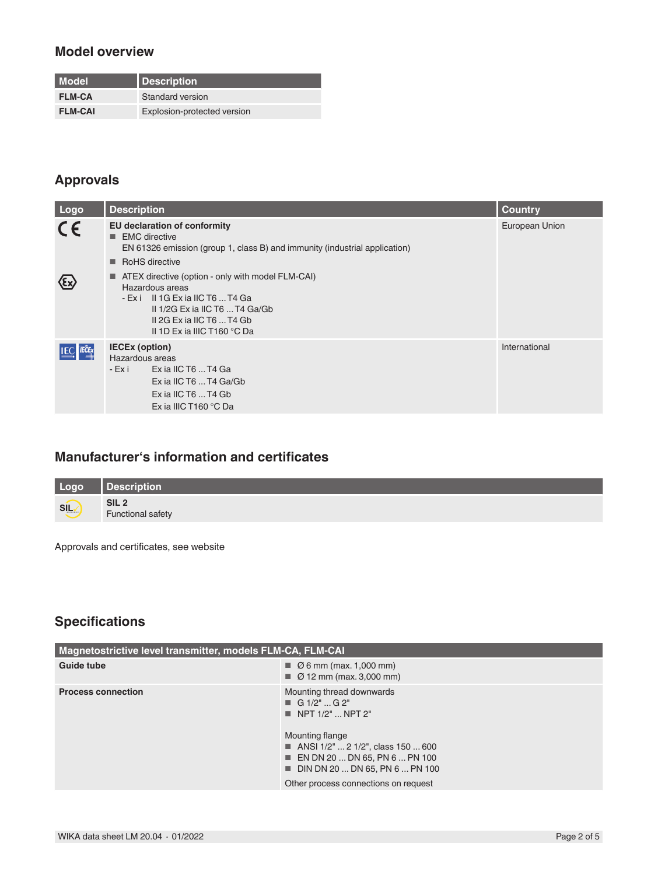### **Model overview**

| l Model.       | Description                 |
|----------------|-----------------------------|
| <b>FLM-CA</b>  | Standard version            |
| <b>FLM-CAI</b> | Explosion-protected version |

# **Approvals**

| Logo      | <b>Description</b>                                                                                                                                                                                         | <b>Country</b> |
|-----------|------------------------------------------------------------------------------------------------------------------------------------------------------------------------------------------------------------|----------------|
| $C \in$   | <b>EU declaration of conformity</b><br><b>EMC</b> directive<br>EN 61326 emission (group 1, class B) and immunity (industrial application)<br>RoHS directive                                                | European Union |
|           | ■ ATEX directive (option - only with model FLM-CAI)<br>Hazardous areas<br>- Exi II 1G Exia IIC T6  T4 Ga<br>II $1/2G$ Ex ia IIC T6  T4 $Ga/Gb$<br>II 2G Ex ia IIC T6  T4 Gb<br>II 1D Ex ia IIIC T160 °C Da |                |
| IEC TECEX | <b>IECEx (option)</b><br>Hazardous areas<br>- Exi Exia IIC T6  T4 Ga<br>Ex ia IIC T6  T4 Ga/Gb<br>$Ex$ ia IIC T6 $$ T4 Gb<br>Ex ia IIIC T160 $^{\circ}$ C Da                                               | International  |

# **Manufacturer's information and certificates**

| Logo | Description                                  |
|------|----------------------------------------------|
| SILV | SIL <sub>2</sub><br><b>Functional safety</b> |

Approvals and certificates, see website

# **Specifications**

| Magnetostrictive level transmitter, models FLM-CA, FLM-CAI |                                                                                                                                                                                                                                                                                                      |  |  |  |  |
|------------------------------------------------------------|------------------------------------------------------------------------------------------------------------------------------------------------------------------------------------------------------------------------------------------------------------------------------------------------------|--|--|--|--|
| Guide tube                                                 | $\blacksquare$ $\emptyset$ 6 mm (max. 1,000 mm)<br>$\blacksquare$ $\emptyset$ 12 mm (max. 3,000 mm)                                                                                                                                                                                                  |  |  |  |  |
| <b>Process connection</b>                                  | Mounting thread downwards<br>$\blacksquare$ G 1/2"  G 2"<br>$\blacksquare$ NPT 1/2"  NPT 2"<br>Mounting flange<br>■ ANSI $1/2$ "  2 $1/2$ ", class 150  600<br>$\blacksquare$ EN DN 20  DN 65, PN 6  PN 100<br>$\blacksquare$ DIN DN 20  DN 65, PN 6  PN 100<br>Other process connections on request |  |  |  |  |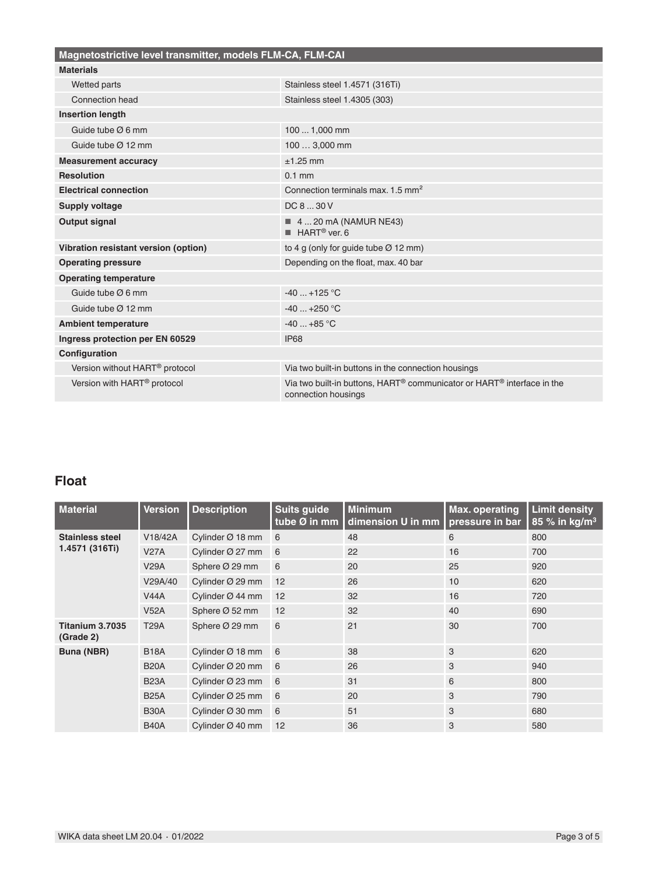| Magnetostrictive level transmitter, models FLM-CA, FLM-CAI |                                                                                               |  |  |  |  |
|------------------------------------------------------------|-----------------------------------------------------------------------------------------------|--|--|--|--|
| <b>Materials</b>                                           |                                                                                               |  |  |  |  |
| Wetted parts                                               | Stainless steel 1.4571 (316Ti)                                                                |  |  |  |  |
| Connection head                                            | Stainless steel 1.4305 (303)                                                                  |  |  |  |  |
| <b>Insertion length</b>                                    |                                                                                               |  |  |  |  |
| Guide tube $\varnothing$ 6 mm                              | 100  1,000 mm                                                                                 |  |  |  |  |
| Guide tube $\varnothing$ 12 mm                             | 100  3,000 mm                                                                                 |  |  |  |  |
| <b>Measurement accuracy</b>                                | $±1.25$ mm                                                                                    |  |  |  |  |
| <b>Resolution</b>                                          | $0.1$ mm                                                                                      |  |  |  |  |
| <b>Electrical connection</b>                               | Connection terminals max, 1.5 mm <sup>2</sup>                                                 |  |  |  |  |
| <b>Supply voltage</b>                                      | DC 8  30 V                                                                                    |  |  |  |  |
| Output signal                                              | $\blacksquare$ 4  20 mA (NAMUR NE43)<br>$HART®$ ver. 6                                        |  |  |  |  |
| Vibration resistant version (option)                       | to 4 g (only for guide tube $\varnothing$ 12 mm)                                              |  |  |  |  |
| <b>Operating pressure</b>                                  | Depending on the float, max. 40 bar                                                           |  |  |  |  |
| <b>Operating temperature</b>                               |                                                                                               |  |  |  |  |
| Guide tube $\varnothing$ 6 mm                              | $-40+125$ °C                                                                                  |  |  |  |  |
| Guide tube $@$ 12 mm                                       | $-40+250$ °C                                                                                  |  |  |  |  |
| <b>Ambient temperature</b>                                 | $-40+85$ °C                                                                                   |  |  |  |  |
| Ingress protection per EN 60529                            | <b>IP68</b>                                                                                   |  |  |  |  |
| Configuration                                              |                                                                                               |  |  |  |  |
| Version without HART <sup>®</sup> protocol                 | Via two built-in buttons in the connection housings                                           |  |  |  |  |
| Version with HART <sup>®</sup> protocol                    | Via two built-in buttons, HART® communicator or HART® interface in the<br>connection housings |  |  |  |  |

# **Float**

| <b>Material</b>              | <b>Version</b> | <b>Description</b>           | <b>Suits guide</b><br>tube Ø in mm | <b>Minimum</b><br>dimension U in mm | <b>Max. operating</b><br>pressure in bar | <b>Limit density</b><br>85 % in kg/m <sup>3</sup> |
|------------------------------|----------------|------------------------------|------------------------------------|-------------------------------------|------------------------------------------|---------------------------------------------------|
| <b>Stainless steel</b>       | V18/42A        | Cylinder $\varnothing$ 18 mm | 6                                  | 48                                  | 6                                        | 800                                               |
| 1.4571 (316Ti)               | <b>V27A</b>    | Cylinder Ø 27 mm             | 6                                  | 22                                  | 16                                       | 700                                               |
|                              | <b>V29A</b>    | Sphere Ø 29 mm               | 6                                  | 20                                  | 25                                       | 920                                               |
|                              | V29A/40        | Cylinder Ø 29 mm             | 12                                 | 26                                  | 10                                       | 620                                               |
|                              | <b>V44A</b>    | Cylinder $\varnothing$ 44 mm | 12                                 | 32                                  | 16                                       | 720                                               |
|                              | <b>V52A</b>    | Sphere Ø 52 mm               | 12                                 | 32                                  | 40                                       | 690                                               |
| Titanium 3.7035<br>(Grade 2) | <b>T29A</b>    | Sphere Ø 29 mm               | 6                                  | 21                                  | 30                                       | 700                                               |
| Buna (NBR)                   | <b>B18A</b>    | Cylinder Ø 18 mm             | 6                                  | 38                                  | 3                                        | 620                                               |
|                              | <b>B20A</b>    | Cylinder Ø 20 mm             | 6                                  | 26                                  | 3                                        | 940                                               |
|                              | <b>B23A</b>    | Cylinder Ø 23 mm             | 6                                  | 31                                  | 6                                        | 800                                               |
|                              | <b>B25A</b>    | Cylinder $\varnothing$ 25 mm | 6                                  | 20                                  | 3                                        | 790                                               |
|                              | <b>B30A</b>    | Cylinder Ø 30 mm             | 6                                  | 51                                  | 3                                        | 680                                               |
|                              | <b>B40A</b>    | Cylinder $\varnothing$ 40 mm | 12                                 | 36                                  | 3                                        | 580                                               |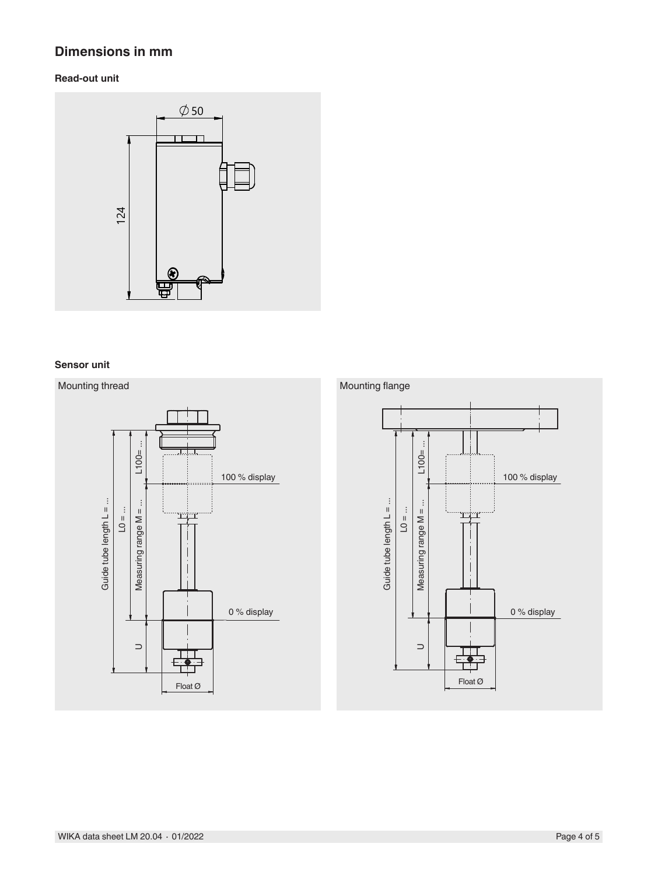# **Dimensions in mm**

#### **Read-out unit**



#### **Sensor unit**